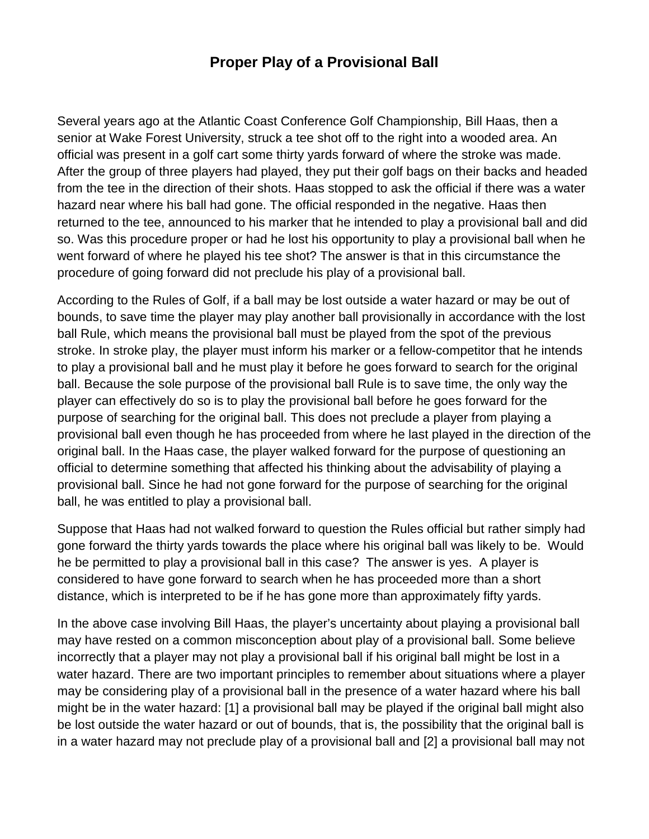## **Proper Play of a Provisional Ball**

Several years ago at the Atlantic Coast Conference Golf Championship, Bill Haas, then a senior at Wake Forest University, struck a tee shot off to the right into a wooded area. An official was present in a golf cart some thirty yards forward of where the stroke was made. After the group of three players had played, they put their golf bags on their backs and headed from the tee in the direction of their shots. Haas stopped to ask the official if there was a water hazard near where his ball had gone. The official responded in the negative. Haas then returned to the tee, announced to his marker that he intended to play a provisional ball and did so. Was this procedure proper or had he lost his opportunity to play a provisional ball when he went forward of where he played his tee shot? The answer is that in this circumstance the procedure of going forward did not preclude his play of a provisional ball.

According to the Rules of Golf, if a ball may be lost outside a water hazard or may be out of bounds, to save time the player may play another ball provisionally in accordance with the lost ball Rule, which means the provisional ball must be played from the spot of the previous stroke. In stroke play, the player must inform his marker or a fellow-competitor that he intends to play a provisional ball and he must play it before he goes forward to search for the original ball. Because the sole purpose of the provisional ball Rule is to save time, the only way the player can effectively do so is to play the provisional ball before he goes forward for the purpose of searching for the original ball. This does not preclude a player from playing a provisional ball even though he has proceeded from where he last played in the direction of the original ball. In the Haas case, the player walked forward for the purpose of questioning an official to determine something that affected his thinking about the advisability of playing a provisional ball. Since he had not gone forward for the purpose of searching for the original ball, he was entitled to play a provisional ball.

Suppose that Haas had not walked forward to question the Rules official but rather simply had gone forward the thirty yards towards the place where his original ball was likely to be. Would he be permitted to play a provisional ball in this case? The answer is yes. A player is considered to have gone forward to search when he has proceeded more than a short distance, which is interpreted to be if he has gone more than approximately fifty yards.

In the above case involving Bill Haas, the player's uncertainty about playing a provisional ball may have rested on a common misconception about play of a provisional ball. Some believe incorrectly that a player may not play a provisional ball if his original ball might be lost in a water hazard. There are two important principles to remember about situations where a player may be considering play of a provisional ball in the presence of a water hazard where his ball might be in the water hazard: [1] a provisional ball may be played if the original ball might also be lost outside the water hazard or out of bounds, that is, the possibility that the original ball is in a water hazard may not preclude play of a provisional ball and [2] a provisional ball may not